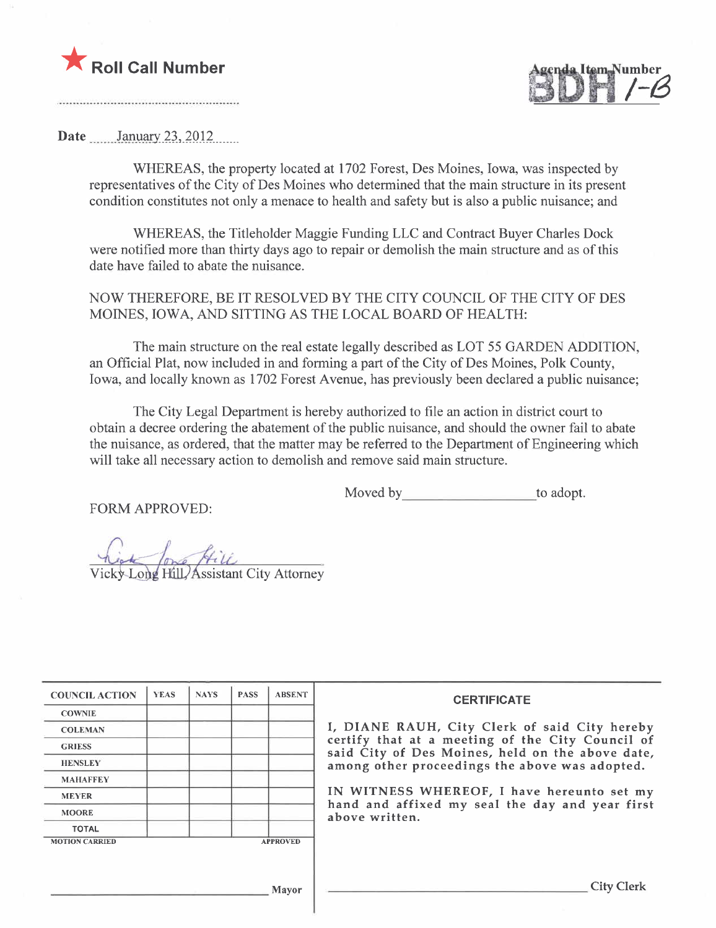



Date \_\_\_\_\_\_January 23, 2012

WHEREAS, the property located at 1702 Forest, Des Moines, Iowa, was inspected by representatives of the City of Des Moines who determined that the main structure in its present condition constitutes not only a menace to health and safety but is also a public nuisance; and

WHEREAS, the Titleholder Maggie Funding LLC and Contract Buyer Charles Dock were notified more than thirty days ago to repair or demolish the main structure and as of this date have failed to abate the nuisance.

NOW THEREFORE, BE IT RESOLVED BY THE CITY COUNCIL OF THE CITY OF DES MOINES, IOWA, AND SITTING AS THE LOCAL BOARD OF HEALTH:

The main structure on the real estate legally described as LOT 55 GARDEN ADDITION, an Official Plat, now included in and forming a part of the City of Des Moines, Polk County, Iowa, and locally known as 1702 Forest Avenue, has previously been declared a public nuisance;

The City Legal Department is hereby authorized to fie an action in district court to obtain a decree ordering the abatement of the public nuisance, and should the owner fail to abate the nuisance, as ordered, that the matter may be referred to the Department of Engineering which will take all necessary action to demolish and remove said main structure.

Moved by to adopt.

FORM APPROVED:

Long Hill Assistant City Attorney

| I, DIANE RAUH, City Clerk of said City hereby                                                        |
|------------------------------------------------------------------------------------------------------|
| certify that at a meeting of the City Council of<br>said City of Des Moines, held on the above date, |
| among other proceedings the above was adopted.                                                       |
|                                                                                                      |
| IN WITNESS WHEREOF, I have hereunto set my                                                           |
| hand and affixed my seal the day and year first                                                      |
|                                                                                                      |
|                                                                                                      |
|                                                                                                      |
|                                                                                                      |
| <b>City Clerk</b>                                                                                    |
|                                                                                                      |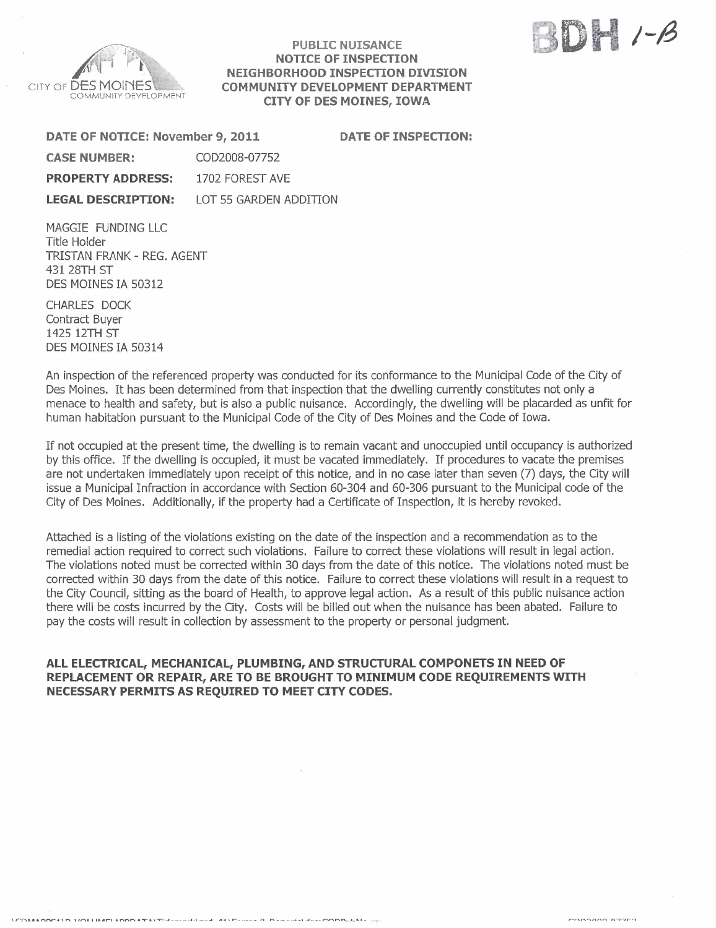

#### PUBLIC NUISANCE NOTICE OF INSPECTION NEIGHBORHOOD INSPECTION DIVISION COMMUNITY DEVELOPMENT DEPARTMENT CITY OF DES MOINES, IOWA

 $H$   $\sim$   $\beta$ ::/I:d " fa j

DATE OF NOTICE: November 9, 2011 DATE OF INSPECTION:

| <b>CASE NUMBER:</b>       | COD2008-07752          |
|---------------------------|------------------------|
| <b>PROPERTY ADDRESS:</b>  | 1702 FOREST AVE        |
| <b>LEGAL DESCRIPTION:</b> | LOT 55 GARDEN ADDITION |

MAGGIE FUNDING LLC Title Holder TRISTAN FRANK - REG. AGENT 431 28TH ST DES MOINES IA 50312

CHARLES DOCK Contract Buyer 1425 12TH ST DES MOINES IA 50314

An inspection of the referenced property was conducted for its conformance to the Municipal Code of the City of Des Moines. It has been determined from that inspection that the dwelling currently constitutes not only a menace to health and safety, but is also a public nuisance. Accordingly, the dwelling will be placarded as unfit for human habitation pursuant to the Municipal Code of the City of Des Moines and the Code of Iowa.

If not occupied at the present time, the dwelling is to remain vacant and unoccupied until occupancy is authorized by this office. If the dwelling is occupied, it must be vacated immediately. If procedures to vacate the premises are not undertaken immediately upon receipt of this notice, and in no case later than seven (7) days, the City will issue a Municipal Infraction in accordance with Section 60-304 and 60-306 pursuant to the Municipal code of the City of Des Moines. Additionally, if the property had a Certificate of Inspection, it is hereby revoked.

Attached is a listing of the violations existing on the date of the inspection and a recommendation as to the remedial action required to correct such violations. Failure to correct these violations wil result in legal action. The violations noted must be corrected within 30 days from the date of this notice. The violations noted must be corrected within 30 days from the date of this notice. Failure to correct these violations will result in a request to the City Council, sitting as the board of Health, to approve legal action. As a result of this public nuisance action there will be costs incurred by the City. Costs will be biled out when the nuisance has been abated. Failure to pay the costs will result in collection by assessment to the property or personal judgment.

### ALL ELECTRICAL, MECHANICAL, PLUMBING, AND STRUCTURAL COMPONETS IN NEED OF REPLACEMENT OR REPAIR, ARE TO BE BROUGHT TO MINIMUM CODE REQUIREMENTS WITH NECESSARY PERMITS AS REQUIRED TO MEET CITY CODES.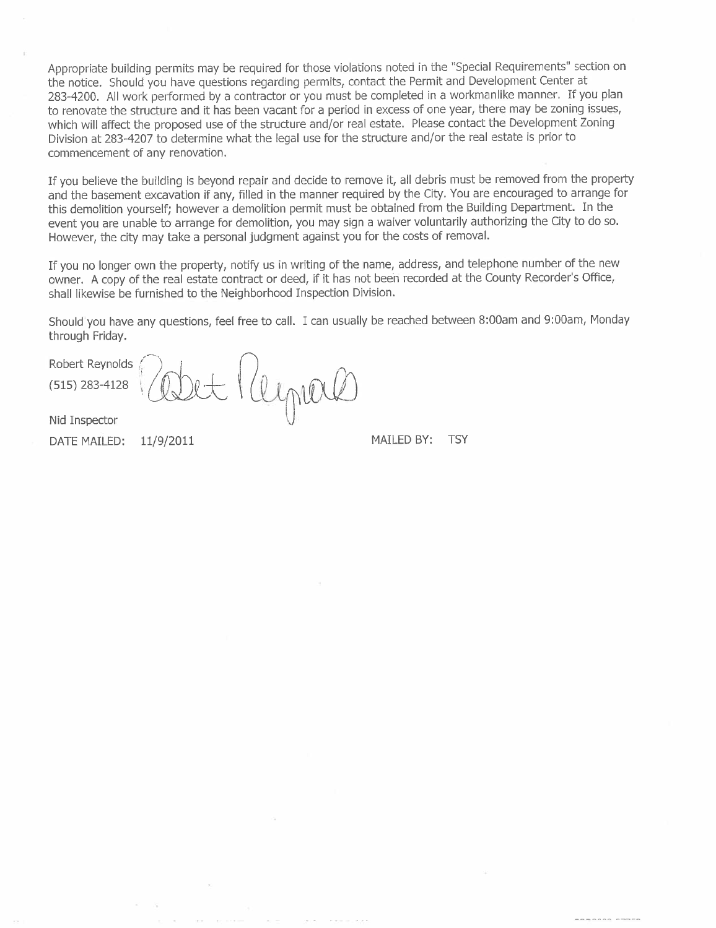Appropriate building permits may be required for those violations noted in the "Special Requirements" section on the notice. Should you have questions regarding permits, contact the Permit and Development Center at 283-4200. All work performed by a contractor or you must be completed in a workmanlike manner. If you plan to renovate the structure and it has been vacant for a period in excess of one year, there may be zoning issues, which will affect the proposed use of the structure and/or real estate. Please contact the Development Zoning Division at 283-4207 to determine what the legal use for the structure and/or the real estate is prior to commencement of any renovation.

If you believe the building is beyond repair and decide to remove it, all debris must be removed from the property and the basement excavation if any, filled in the manner required by the City. You are encouraged to arrange for this demolition yourself; however a demolition permit must be obtained from the Building Department. In the event you are unable to arrange for demolition, you may sign a waiver voluntarily authorizing the City to do so. However, the city may take a personal judgment against you for the costs of removaL.

If you no longer own the property, notify us in writing of the name, address, and telephone number of the new owner. A copy of the real estate contract or deed, if it has not been recorded at the County Recorder's Office, shall likewise be furnished to the Neighborhood Inspection Division.

Should you have any questions, feel free to calL. I can usually be reached between 8:00am and 9:00am, Monday through Friday.

Robert Reynolds  $^{(515) 283-4128}$  (able Kllyner

Nid Inspector

DATE MAILED:  $11/9/2011$  MAILED BY: TSY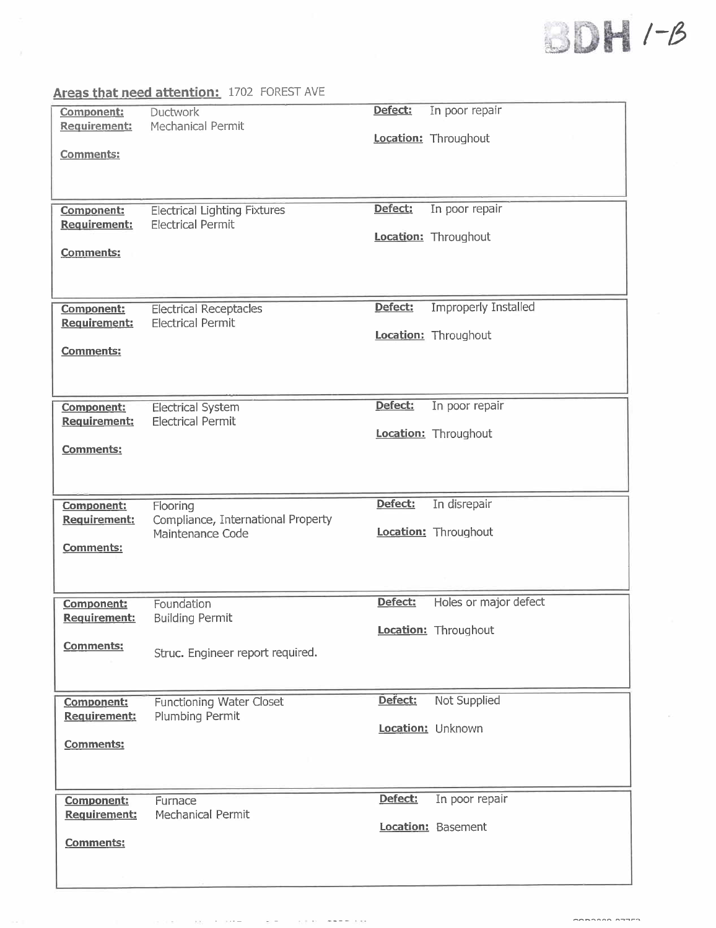## $\bigcup \bigcup \{ \mid \cdot \mid \cdot \mid \cdot \big|$  $t \in \mathbb{R}$  is the state  $t$  $\omega$ dh

|                                   | Areas that need attention: 1702 FOREST AVE                      |         |                             |
|-----------------------------------|-----------------------------------------------------------------|---------|-----------------------------|
| Component:<br><b>Requirement:</b> | Ductwork<br>Mechanical Permit                                   | Defect: | In poor repair              |
| <b>Comments:</b>                  |                                                                 |         | <b>Location:</b> Throughout |
|                                   |                                                                 | Defect: | In poor repair              |
| Component:<br>Requirement:        | <b>Electrical Lighting Fixtures</b><br><b>Electrical Permit</b> |         |                             |
| Comments:                         |                                                                 |         | Location: Throughout        |
| <b>Component:</b>                 | <b>Electrical Receptacles</b>                                   | Defect: | <b>Improperly Installed</b> |
| Requirement:                      | <b>Electrical Permit</b>                                        |         | Location: Throughout        |
| <b>Comments:</b>                  |                                                                 |         |                             |
|                                   |                                                                 |         |                             |
| Component:                        | <b>Electrical System</b>                                        | Defect: | In poor repair              |
| Requirement:                      | <b>Electrical Permit</b>                                        |         | Location: Throughout        |
| <b>Comments:</b>                  |                                                                 |         |                             |
|                                   |                                                                 |         |                             |
| <b>Component:</b><br>Requirement: | Flooring<br>Compliance, International Property                  | Defect: | In disrepair                |
| <b>Comments:</b>                  | Maintenance Code                                                |         | Location: Throughout        |
|                                   |                                                                 |         |                             |
| <b>Component:</b>                 | Foundation                                                      | Defect: | Holes or major defect       |
| <b>Requirement:</b>               | <b>Building Permit</b>                                          |         | Location: Throughout        |
| Comments:                         | Struc. Engineer report required.                                |         |                             |
|                                   |                                                                 |         |                             |
| <b>Component:</b>                 | <b>Functioning Water Closet</b>                                 | Defect: | <b>Not Supplied</b>         |
| Requirement:                      | Plumbing Permit                                                 |         | Location: Unknown           |
| Comments:                         |                                                                 |         |                             |
| <b>Component:</b>                 | Furnace                                                         | Defect: | In poor repair              |
| Requirement:                      | Mechanical Permit                                               |         | Location: Basement          |
| <b>Comments:</b>                  |                                                                 |         |                             |
|                                   |                                                                 |         |                             |

The most control of the most control

**Contractor** 

 $\sim 10^{-1}$ 

 $\begin{array}{ccc}\n\hline\n\end{array}$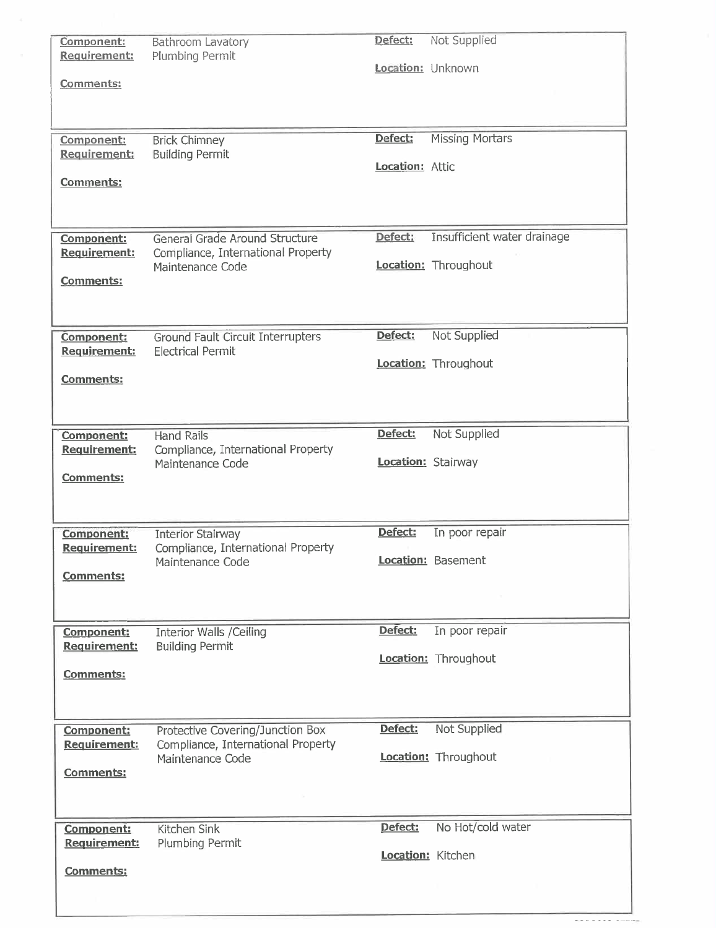| Component:          |                                          |                   |                             |
|---------------------|------------------------------------------|-------------------|-----------------------------|
|                     | Bathroom Lavatory                        | Defect:           | Not Supplied                |
| Requirement:        | Plumbing Permit                          | Location: Unknown |                             |
|                     |                                          |                   |                             |
| Comments:           |                                          |                   |                             |
|                     |                                          |                   |                             |
|                     |                                          |                   |                             |
|                     |                                          | Defect:           | <b>Missing Mortars</b>      |
| Component:          | <b>Brick Chimney</b>                     |                   |                             |
| Requirement:        | <b>Building Permit</b>                   | Location: Attic   |                             |
| <b>Comments:</b>    |                                          |                   |                             |
|                     |                                          |                   |                             |
|                     |                                          |                   |                             |
|                     |                                          |                   |                             |
| Component:          | General Grade Around Structure           | Defect:           | Insufficient water drainage |
| Requirement:        | Compliance, International Property       |                   |                             |
|                     | Maintenance Code                         |                   | Location: Throughout        |
| Comments:           |                                          |                   |                             |
|                     |                                          |                   |                             |
|                     |                                          |                   |                             |
|                     |                                          |                   |                             |
| Component:          | <b>Ground Fault Circuit Interrupters</b> | Defect:           | Not Supplied                |
| <b>Requirement:</b> | <b>Electrical Permit</b>                 |                   |                             |
|                     |                                          |                   | Location: Throughout        |
| <b>Comments:</b>    |                                          |                   |                             |
|                     |                                          |                   |                             |
|                     |                                          |                   |                             |
|                     |                                          |                   |                             |
| Component:          | <b>Hand Rails</b>                        | Defect:           | Not Supplied                |
| Requirement:        | Compliance, International Property       |                   |                             |
|                     | Maintenance Code                         |                   | Location: Stairway          |
| <b>Comments:</b>    |                                          |                   |                             |
|                     |                                          |                   |                             |
|                     |                                          |                   |                             |
|                     |                                          |                   |                             |
| Component:          | <b>Interior Stairway</b>                 | Defect:           | In poor repair              |
| <b>Requirement:</b> | Compliance, International Property       |                   |                             |
|                     | Maintenance Code                         |                   | Location: Basement          |
|                     |                                          |                   |                             |
| <b>Comments:</b>    |                                          |                   |                             |
|                     |                                          |                   |                             |
|                     |                                          |                   |                             |
|                     |                                          |                   |                             |
| <b>Component:</b>   | <b>Interior Walls /Ceiling</b>           | Defect:           | In poor repair              |
| Requirement:        | <b>Building Permit</b>                   |                   |                             |
|                     |                                          |                   | Location: Throughout        |
| Comments:           |                                          |                   |                             |
|                     |                                          |                   |                             |
|                     |                                          |                   |                             |
|                     |                                          |                   |                             |
| Component:          | Protective Covering/Junction Box         | Defect:           | Not Supplied                |
| Requirement:        | Compliance, International Property       |                   |                             |
|                     | Maintenance Code                         |                   | <b>Location:</b> Throughout |
| Comments:           |                                          |                   |                             |
|                     |                                          |                   |                             |
|                     |                                          |                   |                             |
|                     |                                          |                   |                             |
| <b>Component:</b>   | Kitchen Sink                             | Defect:           | No Hot/cold water           |
| Requirement:        | Plumbing Permit                          |                   |                             |
|                     |                                          |                   | Location: Kitchen           |
| Comments:           |                                          |                   |                             |
|                     |                                          |                   |                             |

 $\label{eq:1} \begin{array}{lllllllll} \mathbf{1}_{\mathbf{1}} & \mathbf{1}_{\mathbf{1}} & \mathbf{1}_{\mathbf{1}} & \mathbf{1}_{\mathbf{1}} & \mathbf{1}_{\mathbf{1}} \\ \mathbf{1}_{\mathbf{1}} & \mathbf{1}_{\mathbf{1}} & \mathbf{1}_{\mathbf{1}} & \mathbf{1}_{\mathbf{1}} & \mathbf{1}_{\mathbf{1}} \\ \mathbf{1}_{\mathbf{1}} & \mathbf{1}_{\mathbf{1}} & \mathbf{1}_{\mathbf{1}} & \mathbf{1}_{\mathbf{1}} & \mathbf{1}_{\mathbf{1}} \\ \mathbf{1}_{\$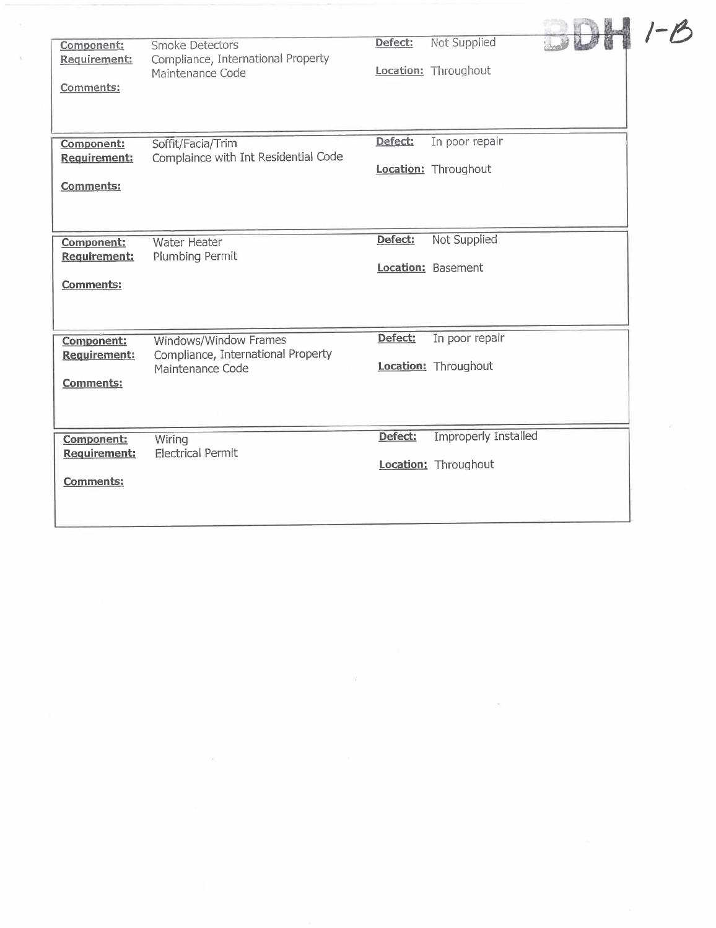| Component:<br>Requirement:<br>Comments:                      | Smoke Detectors<br>Compliance, International Property<br>Maintenance Code       | Defect: | Not Supplied<br>Location: Throughout                |  |
|--------------------------------------------------------------|---------------------------------------------------------------------------------|---------|-----------------------------------------------------|--|
| <b>Component:</b><br><b>Requirement:</b><br><b>Comments:</b> | Soffit/Facia/Trim<br>Complaince with Int Residential Code                       | Defect: | In poor repair<br>Location: Throughout              |  |
| Component:<br><b>Requirement:</b><br><b>Comments:</b>        | <b>Water Heater</b><br>Plumbing Permit                                          | Defect: | Not Supplied<br>Location: Basement                  |  |
| Component:<br>Requirement:<br><b>Comments:</b>               | Windows/Window Frames<br>Compliance, International Property<br>Maintenance Code | Defect: | In poor repair<br>Location: Throughout              |  |
| Component:<br>Requirement:<br><b>Comments:</b>               | Wiring<br><b>Electrical Permit</b>                                              | Defect: | <b>Improperly Installed</b><br>Location: Throughout |  |

 $\sim 10^{11}$ 

 $\tilde{\gamma}$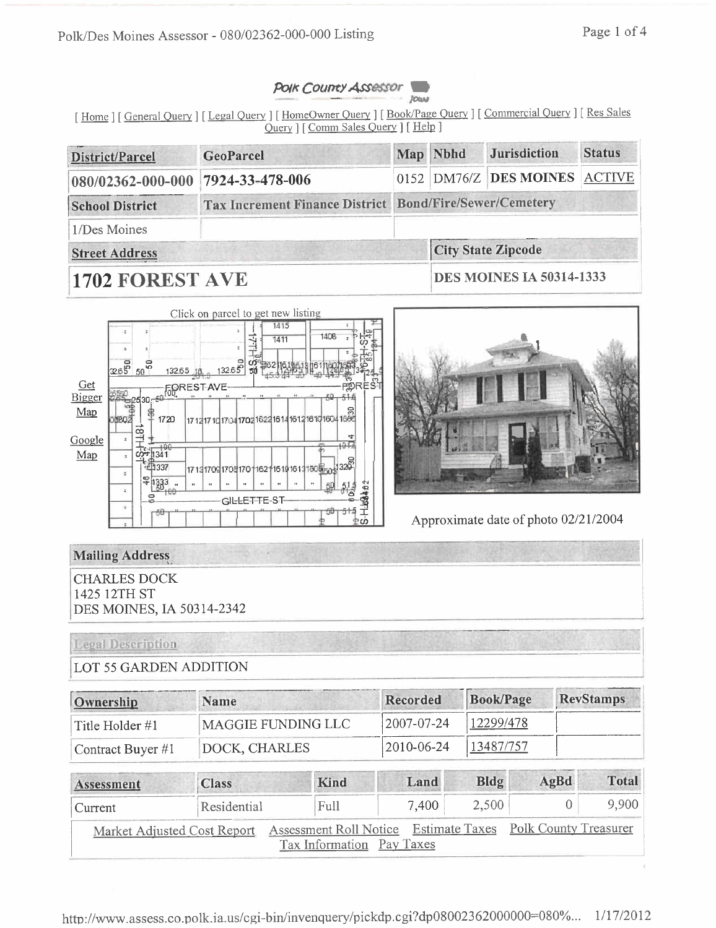



[Home ] [General Query ] [Legal Query ] [HomeOwner Query ] [Book/Page Query ] [Commercial Query ] [Res Sales Query ] [Comm Sales Query ] [Help ]

| District/Parcel                   | <b>GeoParcel</b>                                        |  | Map Nbhd | <b>Jurisdiction</b>                | <b>Status</b> |
|-----------------------------------|---------------------------------------------------------|--|----------|------------------------------------|---------------|
| 080/02362-000-000 7924-33-478-006 |                                                         |  |          | $0152$ DM76/Z DES MOINES $ ACTIVE$ |               |
| <b>School District</b>            | Tax Increment Finance District Bond/Fire/Sewer/Cemetery |  |          |                                    |               |
| 1/Des Moines                      |                                                         |  |          |                                    |               |
| <b>Street Address</b>             |                                                         |  |          | <b>City State Zipcode</b>          |               |
|                                   |                                                         |  |          | <b>NNO LEATHRAIL FASLE 1999</b>    |               |

# 1702 FOREST AVE

**DES MOINES 1A 50314-1333** 





Approximate date of photo 02/21/2004

## **Mailing Address**

**CHARLES DOCK** 1425 12TH ST DES MOINES, IA 50314-2342

## **Legal Description**

## **LOT 55 GARDEN ADDITION**

| Ownership               | <b>Name</b>        | <b>Recorded</b>    | Book/Page | <b>RevStamps</b> |
|-------------------------|--------------------|--------------------|-----------|------------------|
| $\vert$ Title Holder #1 | MAGGIE FUNDING LLC | $ 2007-07-24 $     | 12299/478 |                  |
| Contract Buyer #1       | DOCK, CHARLES      | $ 2010 - 06 - 24 $ | 13487/757 |                  |

| Assessment | <b>Class</b> | Kind                                                                                    | Land  | Bldg      | $A\alpha Bd$ | <b>Total</b> |
|------------|--------------|-----------------------------------------------------------------------------------------|-------|-----------|--------------|--------------|
| Current    | Residential  | Full                                                                                    | 7.400 | $2,500 +$ |              | 9,900        |
|            |              | Market Adjusted Cost Report Assessment Roll Notice Estimate Taxes Polk County Treasurer |       |           |              |              |
|            |              | Tax Information Pay Taxes                                                               |       |           |              |              |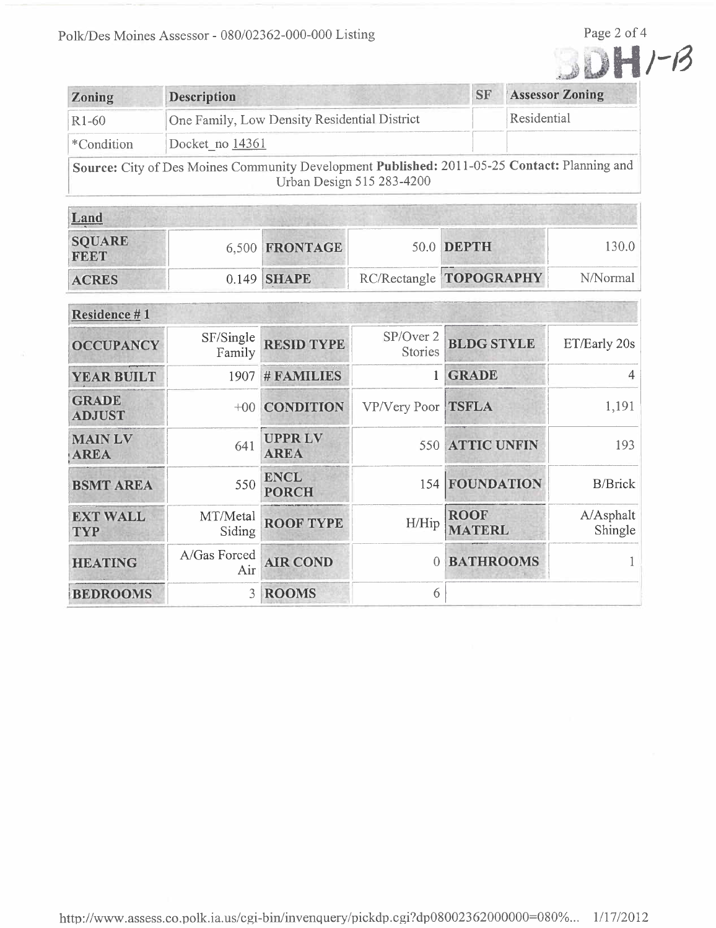

| <b>Zoning</b> | <b>Description</b>                                                                                                        | <b>SF</b> | <b>Assessor Zoning</b> |
|---------------|---------------------------------------------------------------------------------------------------------------------------|-----------|------------------------|
| $R1-60$       | One Family, Low Density Residential District                                                                              |           | Residential            |
| *Condition    | Docket no 14361                                                                                                           |           |                        |
|               | Source: City of Des Moines Community Development Published: 2011-05-25 Contact: Planning and<br>Urban Design 515 283-4200 |           |                        |

| Land                         |  |                |  |                         |          |
|------------------------------|--|----------------|--|-------------------------|----------|
| <b>SQUARE</b><br><b>FEET</b> |  | 6,500 FRONTAGE |  | 50.0 DEPTH              | 130.0    |
| <b>ACRES</b>                 |  | $0.149$ SHAPE  |  | RC/Rectangle TOPOGRAPHY | N/Normal |

| Residence #1                  |                     |                              |                             |                              |                      |
|-------------------------------|---------------------|------------------------------|-----------------------------|------------------------------|----------------------|
| <b>OCCUPANCY</b>              | SF/Single<br>Family | <b>RESID TYPE</b>            | SP/Over 2<br><b>Stories</b> | <b>BLDG STYLE</b>            | ET/Early 20s         |
| <b>YEAR BUILT</b>             | 1907                | # FAMILIES                   |                             | <b>GRADE</b>                 | $\overline{4}$       |
| <b>GRADE</b><br><b>ADJUST</b> | $+00$               | <b>CONDITION</b>             | VP/Very Poor TSFLA          |                              | 1,191                |
| <b>MAIN LV</b><br><b>AREA</b> | 641                 | <b>UPPRLV</b><br><b>AREA</b> |                             | 550 ATTIC UNFIN              | 193                  |
| <b>BSMT AREA</b>              | 550                 | <b>ENCL</b><br><b>PORCH</b>  | 154                         | FOUNDATION                   | <b>B/Brick</b>       |
| <b>EXT WALL</b><br><b>TYP</b> | MT/Metal<br>Siding  | <b>ROOF TYPE</b>             | H/Hip                       | <b>ROOF</b><br><b>MATERL</b> | A/Asphalt<br>Shingle |
| <b>HEATING</b>                | A/Gas Forced<br>Air | <b>AIR COND</b>              | $\theta$                    | <b>BATHROOMS</b>             |                      |
| <b>BEDROOMS</b>               | 3                   | <b>ROOMS</b>                 | 6                           |                              |                      |